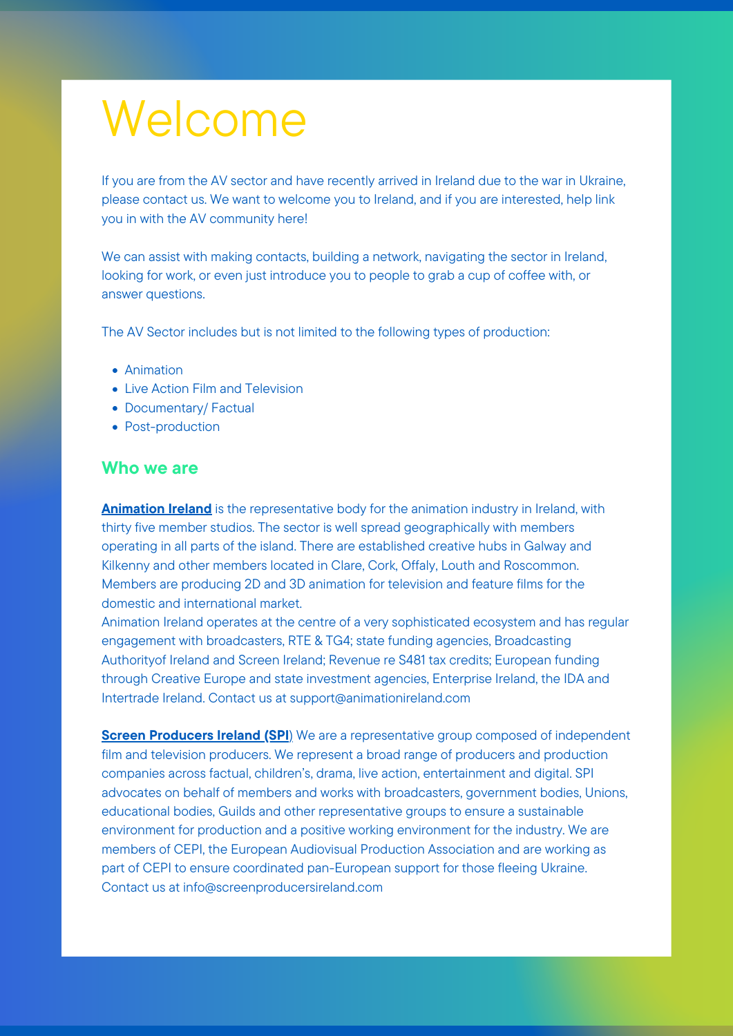If you are from the AV sector and have recently arrived in Ireland due to the war in Ukraine, please contact us. We want to welcome you to Ireland, and if you are interested, help link you in with the AV community here!

We can assist with making contacts, building a network, navigating the sector in Ireland, looking for work, or even just introduce you to people to grab a cup of coffee with, or answer questions.

Animation Ireland is the representative body for the animation industry in Ireland, with thirty five member studios. The sector is well spread geographically with members operating in all parts of the island. There are established creative hubs in Galway and

The AV Sector includes but is not limited to the following types of production:

- Animation
- Live Action Film and Television
- Documentary/ Factual
- Post-production

## Who we are

Kilkenny and other members located in Clare, Cork, Offaly, Louth and Roscommon. Members are producing 2D and 3D animation for television and feature films for the domestic and international market.

**Screen Producers Ireland (SPI)** We are a representative group composed of independent film and television producers. We represent a broad range of producers and production companies across factual, children's, drama, live action, entertainment and digital. SPI advocates on behalf of members and works with broadcasters, government bodies, Unions, educational bodies, Guilds and other representative groups to ensure a sustainable environment for production and a positive working environment for the industry. We are members of CEPI, the European Audiovisual Production Association and are working as part of CEPI to ensure coordinated pan-European support for those fleeing Ukraine. Contact us at info@screenproducersireland.com

Animation Ireland operates at the centre of a very sophisticated ecosystem and has regular engagement with broadcasters, RTE & TG4; state funding agencies, Broadcasting Authorityof Ireland and Screen Ireland; Revenue re S481 tax credits; European funding through Creative Europe and state investment agencies, Enterprise Ireland, the IDA and Intertrade Ireland. Contact us at [support@animationireland.com](mailto:support@animationireland.com)

# Welcome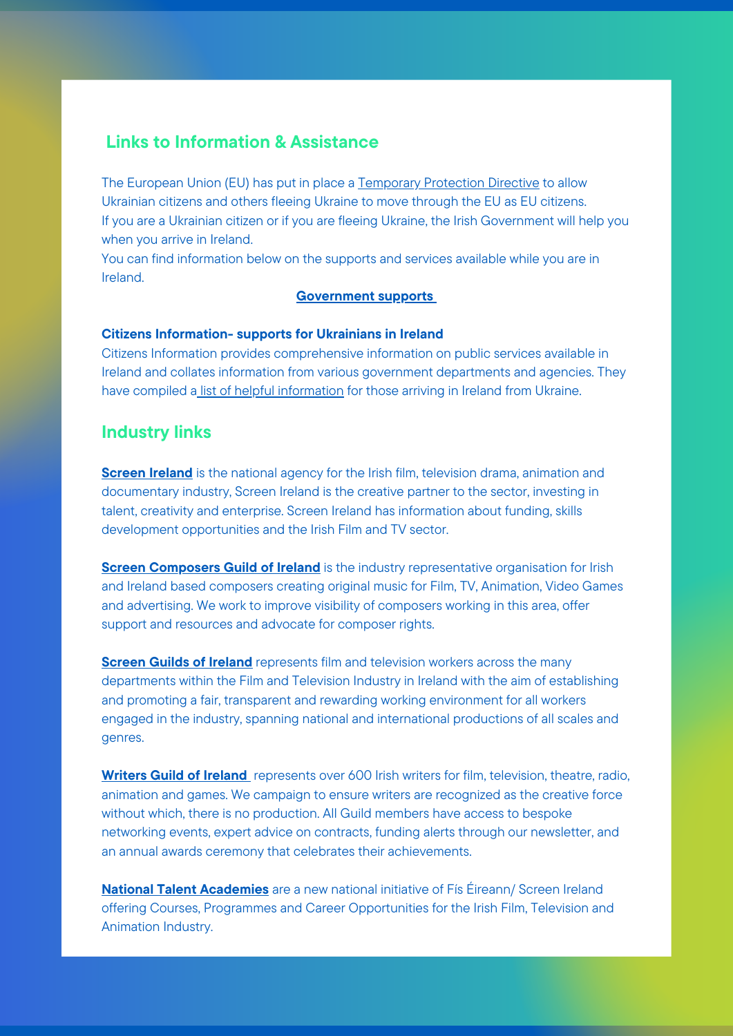# Links to Information & Assistance

The European Union (EU) has put in place a [Temporary](https://www.gov.ie/en/publication/0f773-temporary-protection/) Protection Directive to allow Ukrainian citizens and others fleeing Ukraine to move through the EU as EU citizens. If you are a Ukrainian citizen or if you are fleeing Ukraine, the Irish Government will help you when you arrive in Ireland.

Citizens Information provides comprehensive information on public services available in Ireland and collates information from various government departments and agencies. They have compiled a list of helpful [information](https://www.citizensinformation.ie/en/moving_country/ukrainian_refugees_in_ireland/supports_for_ukrainians_in_ireland.html) for those arriving in Ireland from Ukraine.

You can find information below on the supports and services available while you are in Ireland.

#### [Government](https://www.gov.ie/en/campaigns/bc537-irelands-response-to-the-situation-in-ukraine/) support[s](https://www.gov.ie/en/campaigns/bc537-irelands-response-to-the-situation-in-ukraine/)

#### Citizens Information- supports for Ukrainians in Ireland

**[Screen](https://www.screenireland.ie/) Ireland** is the national agency for the Irish film, television drama, animation and documentary industry, Screen Ireland is the creative partner to the sector, investing in talent, creativity and enterprise. Screen Ireland has information about funding, skills development opportunities and the Irish Film and TV sector.

**Screen [Composers](https://screencomposersguild.ie/) Guild of Ireland** is the industry representative organisation for Irish and Ireland based composers creating original music for Film, TV, Animation, Video Games and advertising. We work to improve visibility of composers working in this area, offer support and resources and advocate for composer rights.

## Industry links

**[Screen](https://www.sgi.ie/) Guilds of Ireland** represents film and television workers across the many departments within the Film and Television Industry in Ireland with the aim of establishing and promoting a fair, transparent and rewarding working environment for all workers engaged in the industry, spanning national and international productions of all scales and genres.

[Writers](https://script.ie/) Guil[d](https://script.ie/) of Ireland represents over 600 Irish writers for film, television, theatre, radio, animation and games. We campaign to ensure writers are recognized as the creative force without which, there is no production. All Guild members have access to bespoke networking events, expert advice on contracts, funding alerts through our newsletter, and an annual awards ceremony that celebrates their achievements.

National Talent [Academies](https://nationaltalentacademies.eu/) are a new national initiative of Fís Éireann/ Screen Ireland offering Courses, Programmes and Career Opportunities for the Irish Film, Television and Animation Industry.